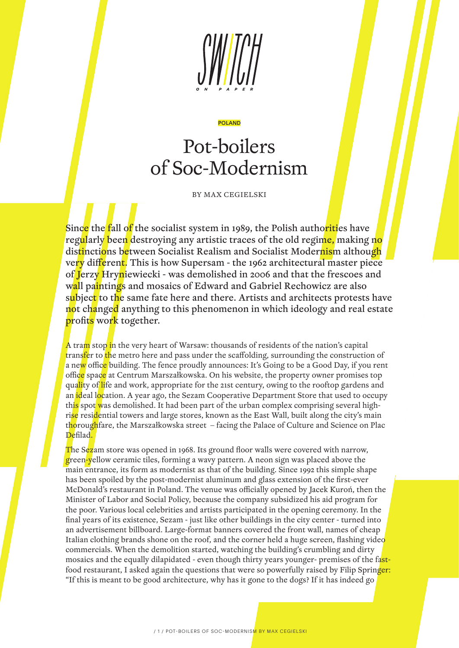

#### POLAND

# Pot-boilers of Soc-Modernism

BY MAX CEGIELSKI

Since the fall of the socialist system in 1989, the Polish authorities have regularly been destroying any artistic traces of the old regime, making no distinctions between Socialist Realism and Socialist Modernism although very different. This is how Supersam - the 1962 architectural master piece of Jerzy Hryniewiecki - was demolished in 2006 and that the frescoes and wall paintings and mosaics of Edward and Gabriel Rechowicz are also subject to the same fate here and there. Artists and architects protests have not changed anything to this phenomenon in which ideology and real estate profits work together.

A tram stop in the very heart of Warsaw: thousands of residents of the nation's capital transfer to the metro here and pass under the scaffolding, surrounding the construction of a new office building. The fence proudly announces: It's Going to be a Good Day, if you rent office space at Centrum Marszałkowska. On his website, the property owner promises top quality of life and work, appropriate for the 21st century, owing to the rooftop gardens and an ideal location. A year ago, the Sezam Cooperative Department Store that used to occupy this spot was demolished. It had been part of the urban complex comprising several highrise residential towers and large stores, known as the East Wall, built along the city's main thoroughfare, the Marszałkowska street – facing the Palace of Culture and Science on Plac Defilad.

The Sezam store was opened in 1968. Its ground floor walls were covered with narrow, green-yellow ceramic tiles, forming a wavy pattern. A neon sign was placed above the main entrance, its form as modernist as that of the building. Since 1992 this simple shape has been spoiled by the post-modernist aluminum and glass extension of the first-ever McDonald's restaurant in Poland. The venue was officially opened by Jacek Kuroń, then the Minister of Labor and Social Policy, because the company subsidized his aid program for the poor. Various local celebrities and artists participated in the opening ceremony. In the final years of its existence, Sezam - just like other buildings in the city center - turned into an advertisement billboard. Large-format banners covered the front wall, names of cheap Italian clothing brands shone on the roof, and the corner held a huge screen, flashing video commercials. When the demolition started, watching the building's crumbling and dirty mosaics and the equally dilapidated - even though thirty years younger- premises of the fastfood restaurant, I asked again the questions that were so powerfully raised by Filip Springer: "If this is meant to be good architecture, why has it gone to the dogs? If it has indeed go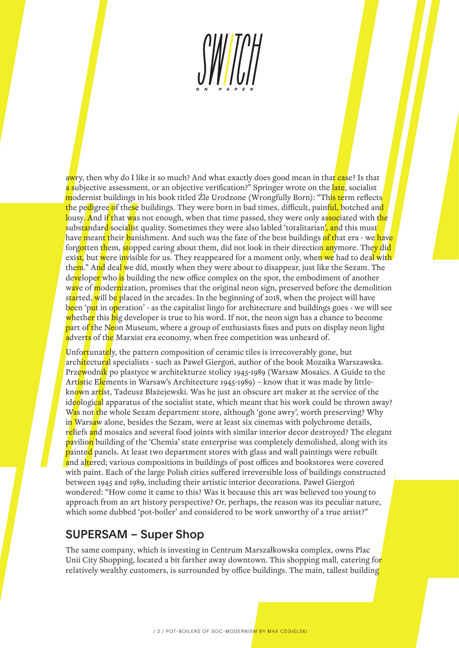awry, then why do I like it so much? And what exactly does good mean in that case? Is that a subjective assessment, or an objective verification?" Springer wrote on the late, socialist modernist buildings in his book titled Źle Urodzone (Wrongfully Born): "Th<mark>is te</mark>rm reflects the pe<mark>di</mark>gree of these buildings. They were born in bad times, difficult, painf<mark>ul,</mark> botched an<mark>d</mark> lousy. And if that was not enough, when that time passed, they were only associated with the substandard socialist quality. Sometimes they were also labled 'totalitarian', and this must have meant their banishment. And such was the fate of the best buildings of that era - we have forgotten them, stopped caring about them, did not look in their direction anymore. They did exist, but were invisible for us. They reappeared for a moment only, when we had to deal with them." And deal we did, mostly when they were about to disappear, just like the Sezam. The developer who is building the new office complex on the spot, the embodiment of another wave of modernization, promises that the original neon sign, preserved before the demolition started, will be placed in the arcades. In the beginning of 2018, when the project will have been 'put in operation' - as the capitalist lingo for architecture and buildings goes - we will see whether this big developer is true to his word. If not, the neon sign has a chance to become part of the Neon Museum, where a group of enthusiasts fixes and puts on display neon light adverts of the Marxist era economy, when free competition was unheard of.

Unfortunately, the pattern composition of ceramic tiles is irrecoverably gone, but architectural specialists - such as Paweł Giergoń, author of the book Mozaika Warszawska. Przewodnik po plastyce w architekturze stolicy 1945-1989 (Warsaw Mosaics. A Guide to the Artistic Elements in Warsaw's Architecture 1945-1989) – know that it was made by littleknown artist, Tadeusz Błażejewski. Was he just an obscure art maker at the service of the ideological apparatus of the socialist state, which meant that his work could be thrown away? Was not the whole Sezam department store, although 'gone awry', worth preserving? Why in Warsaw alone, besides the Sezam, were at least six cinemas with polychrome details, reliefs and mosaics and several food joints with similar interior decor destroyed? The elegant pavilion building of the 'Chemia' state enterprise was completely demolished, along with its painted panels. At least two department stores with glass and wall paintings were rebuilt and altered; various compositions in buildings of post offices and bookstores were covered with paint. Each of the large Polish cities suffered irreversible loss of buildings constructed between 1945 and 1989, including their artistic interior decorations. Paweł Giergoń wondered: "How come it came to this? Was it because this art was believed too young to approach from an art history perspective? Or, perhaps, the reason was its peculiar nature, which some dubbed 'pot-boiler' and considered to be work unworthy of a true artist?"

## SUPERSAM – Super Shop

The same company, which is investing in Centrum Marszałkowska complex, owns Plac Unii City Shopping, located a bit farther away downtown. This shopping mall, catering for relatively wealthy customers, is surrounded by office buildings. The main, tallest building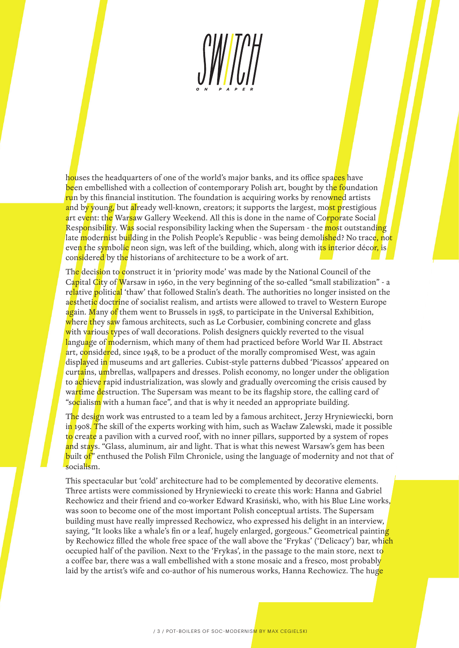houses the headquarters of one of the world's major banks, and its office spaces have been embellished with a collection of contemporary Polish art, bought by the foundation run by this financial institution. The foundation is acquiring works by renowned artists and by young, but already well-known, creators; it supports the largest, most prestigious art event: the Warsaw Gallery Weekend. All this is done in the name of Corporate Social Responsibility. Was social responsibility lacking when the Supersam - the most outstanding late modernist building in the Polish People's Republic - was being demol<mark>ishe</mark>d? No trace<mark>, not</mark> even the symbolic neon sign, was left of the building, which, along with its interior décor, is considered by the historians of architecture to be a work of art.

The decision to construct it in 'priority mode' was made by the National Council of the Capital City of Warsaw in 1960, in the very beginning of the so-called "small stabilization" - a relative political 'thaw' that followed Stalin's death. The authorities no longer insisted on the a<mark>es</mark>thet<mark>ic</mark> doctrine of socialist realism, and artists were allowed to travel to Western Europe again. Many of them went to Brussels in 1958, to participate in the Universal Exhibition, where they saw famous architects, such as Le Corbusier, combining concrete and glass with various types of wall decorations. Polish designers quickly reverted to the visual language of modernism, which many of them had practiced before World War II. Abstract art, considered, since 1948, to be a product of the morally compromised West, was again displayed in museums and art galleries. Cubist-style patterns dubbed 'Picassos' appeared on curtains, umbrellas, wallpapers and dresses. Polish economy, no longer under the obligation to achieve rapid industrialization, was slowly and gradually overcoming the crisis caused by wartime destruction. The Supersam was meant to be its flagship store, the calling card of "socialism with a human face", and that is why it needed an appropriate building.

The design work was entrusted to a team led by a famous architect, Jerzy Hryniewiecki, born in 1908. The skill of the experts working with him, such as Wacław Zalewski, made it possible to create a pavilion with a curved roof, with no inner pillars, supported by a system of ropes and stays. "Glass, aluminum, air and light. That is what this newest Warsaw's gem has been built of" enthused the Polish Film Chronicle, using the language of modernity and not that of socialism.

This spectacular but 'cold' architecture had to be complemented by decorative elements. Three artists were commissioned by Hryniewiecki to create this work: Hanna and Gabriel Rechowicz and their friend and co-worker Edward Krasiński, who, with his Blue Line works, was soon to become one of the most important Polish conceptual artists. The Supersam building must have really impressed Rechowicz, who expressed his delight in an interview, saying, "It looks like a whale's fin or a leaf, hugely enlarged, gorgeous." Geometrical painting by Rechowicz filled the whole free space of the wall above the 'Frykas' ('Delicacy') bar, which occupied half of the pavilion. Next to the 'Frykas', in the passage to the main store, next to a coffee bar, there was a wall embellished with a stone mosaic and a fresco, most probably laid by the artist's wife and co-author of his numerous works, Hanna Rechowicz. The huge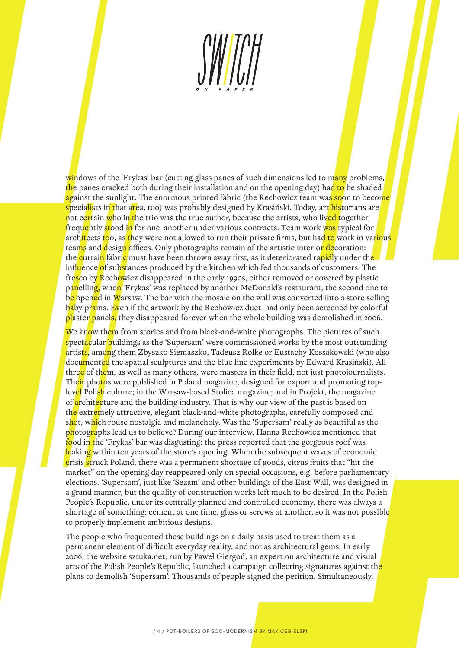windows of the 'Frykas' bar (cutting glass panes of such dimensions led to many problems, the panes cracked both during their installation and on the opening day) had to be shaded against the sunlight. The enormous printed fabric (the Rechowicz team was soon to become specia<mark>li</mark>sts in that area, too) was probably designed by Krasiński. Today, art historians are not certain who in the trio was the true author, because the artists, who lived together, frequently stood in for one another under various contracts. Team work was typical for arch<mark>ite</mark>cts <mark>to</mark>o, as they were not allowed to run their private firms, but had to work in various teams and design offices. Only photographs remain of the artistic interior decoration: the <mark>c</mark>urtai<mark>n</mark> fabric must have been thrown away first, as it deteriorated rapidly under the influence of substances produced by the kitchen which fed thousands of customers. The fresco by Rechowicz disappeared in the early 1990s, either removed or covered by plastic panelling, when 'Frykas' was replaced by another McDonald's restaurant, the second one to be opened in Warsaw. The bar with the mosaic on the wall was converted into a store selling baby prams. Even if the artwork by the Rechowicz duet had only been screened by colorful plaster panels, they disappeared forever when the whole building was demolished in 2006.

We know them from stories and from black-and-white photographs. The pictures of such spectacular buildings as the 'Supersam' were commissioned works by the most outstanding artists, among them Zbyszko Siemaszko, Tadeusz Rolke or Eustachy Kossakowski (who also documented the spatial sculptures and the blue line experiments by Edward Krasiński). All three of them, as well as many others, were masters in their field, not just photojournalists. Their photos were published in Poland magazine, designed for export and promoting toplevel Polish culture; in the Warsaw-based Stolica magazine; and in Projekt, the magazine of architecture and the building industry. That is why our view of the past is based on the extremely attractive, elegant black-and-white photographs, carefully composed and shot, which rouse nostalgia and melancholy. Was the 'Supersam' really as beautiful as the photographs lead us to believe? During our interview, Hanna Rechowicz mentioned that food in the 'Frykas' bar was disgusting; the press reported that the gorgeous roof was leaking within ten years of the store's opening. When the subsequent waves of economic crisis struck Poland, there was a permanent shortage of goods, citrus fruits that "hit the market" on the opening day reappeared only on special occasions, e.g. before parliamentary elections. 'Supersam', just like 'Sezam' and other buildings of the East Wall, was designed in a grand manner, but the quality of construction works left much to be desired. In the Polish People's Republic, under its centrally planned and controlled economy, there was always a shortage of something: cement at one time, glass or screws at another, so it was not possible to properly implement ambitious designs.

The people who frequented these buildings on a daily basis used to treat them as a permanent element of difficult everyday reality, and not as architectural gems. In early 2006, the website sztuka.net, run by Paweł Giergoń, an expert on architecture and visual arts of the Polish People's Republic, launched a campaign collecting signatures against the plans to demolish 'Supersam'. Thousands of people signed the petition. Simultaneously,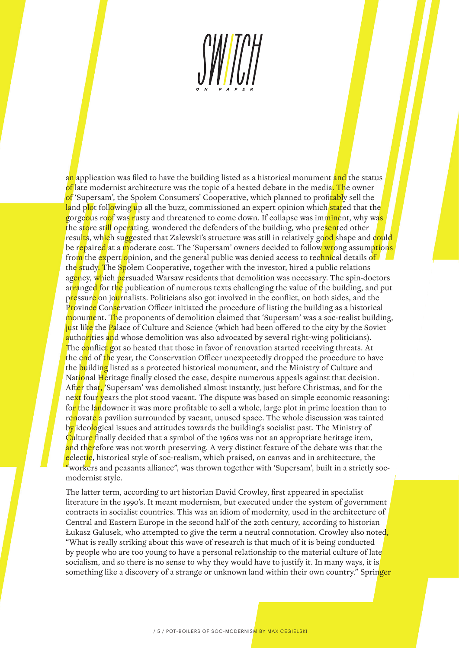an application was filed to have the building listed as a historical monument and the status of late modernist architecture was the topic of a heated debate in the media. The owner of 'Supersam', the Społem Consumers' Cooperative, which planned to profitably sell the land p<mark>lo</mark>t following up all the buzz, commissioned an expert opinion which stated that the gorgeous roof was rusty and threatened to come down. If collapse was imminent, why was the store still operating, wondered the defenders of the building, who presented other resu<mark>lts</mark>, wh<mark>ic</mark>h suggested that Zalewski's structure was still in relatively go<mark>od s</mark>hape and could be repaired at a moderate cost. The 'Supersam' owners decided to follow wrong assumptions from the expert opinion, and the general public was denied access to technical details of the study. The Społem Cooperative, together with the investor, hired a public relations agency, which persuaded Warsaw residents that demolition was necessary. The spin-doctors arranged for the publication of numerous texts challenging the value of the building, and put pressure on journalists. Politicians also got involved in the conflict, on both sides, and the Province Conservation Officer initiated the procedure of listing the building as a historical monument. The proponents of demolition claimed that 'Supersam' was a soc-realist building, just like the Palace of Culture and Science (which had been offered to the city by the Soviet authorities and whose demolition was also advocated by several right-wing politicians). The conflict got so heated that those in favor of renovation started receiving threats. At the end of the year, the Conservation Officer unexpectedly dropped the procedure to have the building listed as a protected historical monument, and the Ministry of Culture and National Heritage finally closed the case, despite numerous appeals against that decision. After that, 'Supersam' was demolished almost instantly, just before Christmas, and for the next four years the plot stood vacant. The dispute was based on simple economic reasoning: fo<mark>r t</mark>he landowner it was more profitable to sell a whole, large plot in prime location than to renovate a pavilion surrounded by vacant, unused space. The whole discussion was tainted by ideological issues and attitudes towards the building's socialist past. The Ministry of Culture finally decided that a symbol of the 1960s was not an appropriate heritage item, and therefore was not worth preserving. A very distinct feature of the debate was that the eclectic, historical style of soc-realism, which praised, on canvas and in architecture, the workers and peasants alliance", was thrown together with 'Supersam', built in a strictly socmodernist style.

The latter term, according to art historian David Crowley, first appeared in specialist literature in the 1990's. It meant modernism, but executed under the system of government contracts in socialist countries. This was an idiom of modernity, used in the architecture of Central and Eastern Europe in the second half of the 20th century, according to historian Łukasz Galusek, who attempted to give the term a neutral connotation. Crowley also noted, "What is really striking about this wave of research is that much of it is being conducted by people who are too young to have a personal relationship to the material culture of late socialism, and so there is no sense to why they would have to justify it. In many ways, it is something like a discovery of a strange or unknown land within their own country." Springer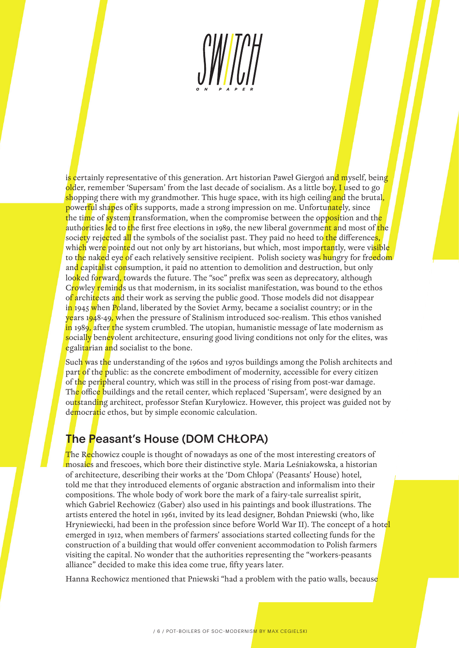is certainly representative of this generation. Art historian Paweł Giergoń and myself, being older, remember 'Supersam' from the last decade of socialism. As a little boy, I used to go shopping there with my grandmother. This huge space, with its high ceiling and the brutal, powerful shapes of its supports, made a strong impression on me. Unfortunately, since the time of system transformation, when the compromise between the opposition and the authorities led to the first free elections in 1989, the new liberal government and most of the society rejected all the symbols of the socialist past. They paid no heed to the difference<mark>s,</mark> which were pointed out not only by art historians, but which, most importantly, were visible to the naked eye of each relatively sensitive recipient. Polish society was hungry for freedom and capitalist consumption, it paid no attention to demolition and destruction, but only looked forward, towards the future. The "soc" prefix was seen as deprecatory, although Crowley reminds us that modernism, in its socialist manifestation, was bound to the ethos of architects and their work as serving the public good. Those models did not disappear in 1945 when Poland, liberated by the Soviet Army, became a socialist country; or in the years 1948-49, when the pressure of Stalinism introduced soc-realism. This ethos vanished in 1989, after the system crumbled. The utopian, humanistic message of late modernism as socially benevolent architecture, ensuring good living conditions not only for the elites, was egalitarian and socialist to the bone.

Such was the understanding of the 1960s and 1970s buildings among the Polish architects and part of the public: as the concrete embodiment of modernity, accessible for every citizen of the peripheral country, which was still in the process of rising from post-war damage. The office buildings and the retail center, which replaced 'Supersam', were designed by an outstanding architect, professor Stefan Kuryłowicz. However, this project was guided not by democratic ethos, but by simple economic calculation.

# The Peasant's House (DOM CHŁOPA)

The Rechowicz couple is thought of nowadays as one of the most interesting creators of mosaics and frescoes, which bore their distinctive style. Maria Leśniakowska, a historian of architecture, describing their works at the 'Dom Chłopa' (Peasants' House) hotel, told me that they introduced elements of organic abstraction and informalism into their compositions. The whole body of work bore the mark of a fairy-tale surrealist spirit, which Gabriel Rechowicz (Gaber) also used in his paintings and book illustrations. The artists entered the hotel in 1961, invited by its lead designer, Bohdan Pniewski (who, like Hryniewiecki, had been in the profession since before World War II). The concept of a hotel emerged in 1912, when members of farmers' associations started collecting funds for the construction of a building that would offer convenient accommodation to Polish farmers visiting the capital. No wonder that the authorities representing the "workers-peasants alliance" decided to make this idea come true, fifty years later.

Hanna Rechowicz mentioned that Pniewski "had a problem with the patio walls, because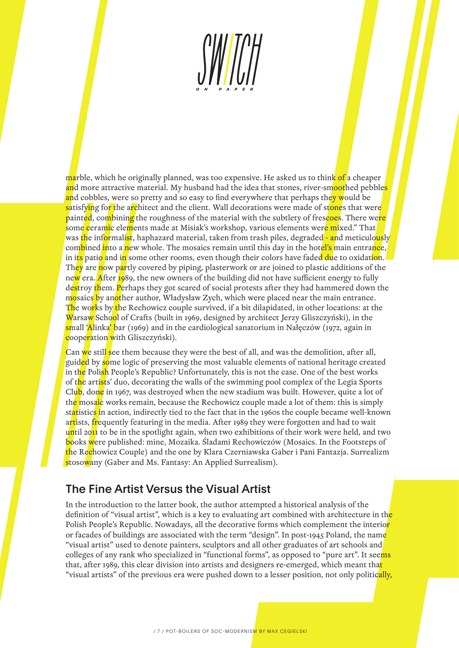marble, which he originally planned, was too expensive. He asked us to think of a cheaper and more attractive material. My husband had the idea that stones, river-smoothed pebbles and cobbles, were so pretty and so easy to find everywhere that perhaps the<mark>y w</mark>ould be satisfying for the architect and the client. Wall decorations were made of stones that were painted, combining the roughness of the material with the subtlety of frescoes. There were some ceramic elements made at Misiak's workshop, various elements were mixed." That was the informalist, haphazard material, taken from trash piles, degraded - and meticulously combined into a new whole. The mosaics remain until this day in the hotel's main entrance, in its patio and in some other rooms, even though their colors have faded due to oxidation. They are now partly covered by piping, plasterwork or are joined to plastic additions of the new era. After 1989, the new owners of the building did not have sufficient energy to fully destroy them. Perhaps they got scared of social protests after they had hammered down the mosaics by another author, Władysław Zych, which were placed near the main entrance. The works by the Rechowicz couple survived, if a bit dilapidated, in other locations: at the Warsaw School of Crafts (built in 1969, designed by architect Jerzy Gliszczyński), in the small 'Alinka' bar (1969) and in the cardiological sanatorium in Nałęczów (1972, again in cooperation with Gliszczyński).

Can we still see them because they were the best of all, and was the demolition, after all, guided by some logic of preserving the most valuable elements of national heritage created in the Polish People's Republic? Unfortunately, this is not the case. One of the best works of the artists' duo, decorating the walls of the swimming pool complex of the Legia Sports Club, done in 1967, was destroyed when the new stadium was built. However, quite a lot of the mosaic works remain, because the Rechowicz couple made a lot of them: this is simply statistics in action, indirectly tied to the fact that in the 1960s the couple became well-known artists, frequently featuring in the media. After 1989 they were forgotten and had to wait until 2011 to be in the spotlight again, when two exhibitions of their work were held, and two books were published: mine, Mozaika. Śladami Rechowiczów (Mosaics. In the Footsteps of the Rechowicz Couple) and the one by Klara Czerniawska Gaber i Pani Fantazja. Surrealizm stosowany (Gaber and Ms. Fantasy: An Applied Surrealism).

#### The Fine Artist Versus the Visual Artist

In the introduction to the latter book, the author attempted a historical analysis of the definition of "visual artist", which is a key to evaluating art combined with architecture in the Polish People's Republic. Nowadays, all the decorative forms which complement the interior or facades of buildings are associated with the term "design". In post-1945 Poland, the name "visual artist" used to denote painters, sculptors and all other graduates of art schools and colleges of any rank who specialized in "functional forms", as opposed to "pure art". It seems that, after 1989, this clear division into artists and designers re-emerged, which meant that "visual artists" of the previous era were pushed down to a lesser position, not only politically,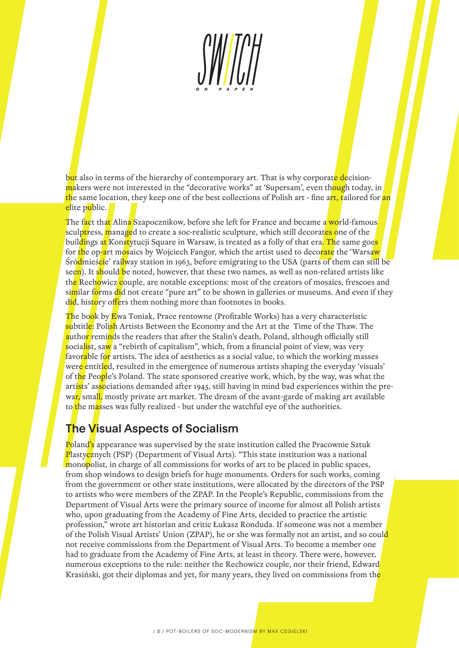but also in terms of the hierarchy of contemporary art. That is why corporate decisionmakers were not interested in the "decorative works" at 'Supersam', even though today, in the same location, they keep one of the best collections of Polish art - fine art, tailored for an elite public.

The fact that Alina Szapocznikow, before she left for France and became a world-famous sculptress, managed to create a soc-realistic sculpture, which still decorates one of the buil<mark>di</mark>ngs a<mark>t</mark> Konstytucji Square in Warsaw, is treated as a folly of that era. The same goe<mark>s</mark> for the op-art mosaics by Wojciech Fangor, which the artist used to decorate the 'Warsaw Śródmieście' railway station in 1963, before emigrating to the USA (parts of them can still be seen). It should be noted, however, that these two names, as well as non-related artists like the Rechowicz couple, are notable exceptions: most of the creators of mosaics, frescoes and similar forms did not create "pure art" to be shown in galleries or museums. And even if they did, history offers them nothing more than footnotes in books.

The book by Ewa Toniak, Prace rentowne (Profitable Works) has a very characteristic subtitle: Polish Artists Between the Economy and the Art at the Time of the Thaw. The author reminds the readers that after the Stalin's death, Poland, although officially still socialist, saw a "rebirth of capitalism", which, from a financial point of view, was very favorable for artists. The idea of aesthetics as a social value, to which the working masses were entitled, resulted in the emergence of numerous artists shaping the everyday 'visuals' of the People's Poland. The state sponsored creative work, which, by the way, was what the artists' associations demanded after 1945, still having in mind bad experiences within the prewar, small, mostly private art market. The dream of the avant-garde of making art available to the masses was fully realized - but under the watchful eye of the authorities.

## The Visual Aspects of Socialism

Poland's appearance was supervised by the state institution called the Pracownie Sztuk Plastycznych (PSP) (Department of Visual Arts). "This state institution was a national monopolist, in charge of all commissions for works of art to be placed in public spaces, from shop windows to design briefs for huge monuments. Orders for such works, coming from the government or other state institutions, were allocated by the directors of the PSP to artists who were members of the ZPAP. In the People's Republic, commissions from the Department of Visual Arts were the primary source of income for almost all Polish artists who, upon graduating from the Academy of Fine Arts, decided to practice the artistic profession," wrote art historian and critic Łukasz Ronduda. If someone was not a member of the Polish Visual Artists' Union (ZPAP), he or she was formally not an artist, and so could not receive commissions from the Department of Visual Arts. To become a member one had to graduate from the Academy of Fine Arts, at least in theory. There were, however, numerous exceptions to the rule: neither the Rechowicz couple, nor their friend, Edward Krasiński, got their diplomas and yet, for many years, they lived on commissions from the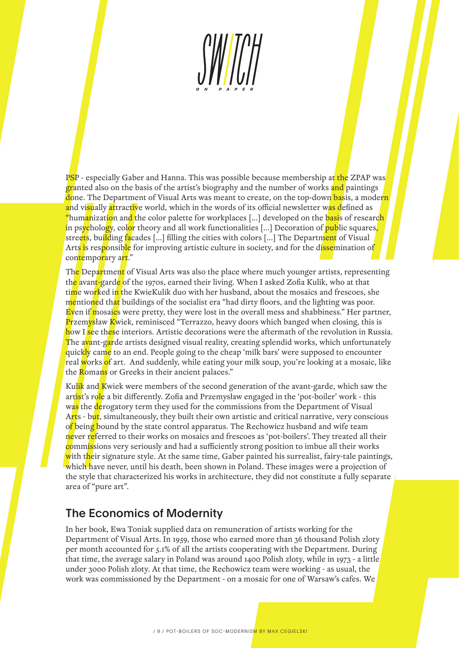PSP - especially Gaber and Hanna. This was possible because membership at the ZPAP was granted also on the basis of the artist's biography and the number of works and paintings done. The Department of Visual Arts was meant to create, on the top-down basis, a modern and visually attractive world, which in the words of its official newsletter was defined as "humanization and the color palette for workplaces [...] developed on the basis of research in psychology, color theory and all work functionalities [...] Decoration of public squares, streets, building facades [...] filling the cities with colors [...] The Department of Visual Arts is responsible for improving artistic culture in society, and for the d<mark>isse</mark>mination of contemporary art."

The Department of Visual Arts was also the place where much younger artists, representing the avant-garde of the 1970s, earned their living. When I asked Zofia Kulik, who at that ti<mark>m</mark>e wo<mark>rk</mark>ed in the KwieKulik duo with her husband, about the mosaics and frescoes, she mentioned that buildings of the socialist era "had dirty floors, and the lighting was poor. Even if mosaics were pretty, they were lost in the overall mess and shabbiness." Her partner, Przemysław Kwiek, reminisced "Terrazzo, heavy doors which banged when closing, this is how I see these interiors. Artistic decorations were the aftermath of the revolution in Russia. The avant-garde artists designed visual reality, creating splendid works, which unfortunately quickly came to an end. People going to the cheap 'milk bars' were supposed to encounter real works of art. And suddenly, while eating your milk soup, you're looking at a mosaic, like the Romans or Greeks in their ancient palaces."

Kulik and Kwiek were members of the second generation of the avant-garde, which saw the artist's role a bit differently. Zofia and Przemysław engaged in the 'pot-boiler' work - this was the derogatory term they used for the commissions from the Department of Visual Arts - but, simultaneously, they built their own artistic and critical narrative, very conscious of being bound by the state control apparatus. The Rechowicz husband and wife team never referred to their works on mosaics and frescoes as 'pot-boilers'. They treated all their commissions very seriously and had a sufficiently strong position to imbue all their works with their signature style. At the same time, Gaber painted his surrealist, fairy-tale paintings, which have never, until his death, been shown in Poland. These images were a projection of the style that characterized his works in architecture, they did not constitute a fully separate area of "pure art".

## The Economics of Modernity

In her book, Ewa Toniak supplied data on remuneration of artists working for the Department of Visual Arts. In 1959, those who earned more than 36 thousand Polish zloty per month accounted for 5.1% of all the artists cooperating with the Department. During that time, the average salary in Poland was around 1400 Polish zloty, while in 1973 - a little under 3000 Polish zloty. At that time, the Rechowicz team were working - as usual, the work was commissioned by the Department - on a mosaic for one of Warsaw's cafes. We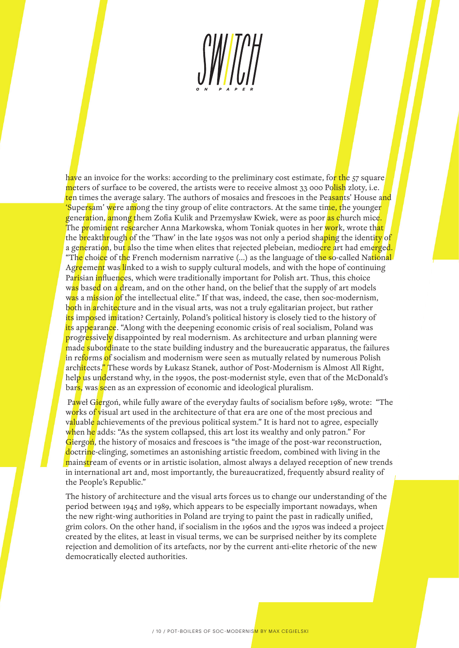have an invoice for the works: according to the preliminary cost estimate, for the 57 square meters of surface to be covered, the artists were to receive almost 33 000 Polish zloty, i.e. ten times the average salary. The authors of mosaics and frescoes in the Peasants' House and 'Supersam' were among the tiny group of elite contractors. At the same time, the younger generation, among them Zofia Kulik and Przemysław Kwiek, were as poor as church mice. The prominent researcher Anna Markowska, whom Toniak quotes in her work, wrote that the breakthrough of the 'Thaw' in the late 1950s was not only a period shaping the identity of a generation, but also the time when elites that rejected plebeian, mediocre art had emerged. "The choice of the French modernism narrative (...) as the language of the so-called National Agreement was linked to a wish to supply cultural models, and with the hope of continuing Pa<mark>ri</mark>sian influences, which were traditionally important for Polish art. Thus, this choice was based on a dream, and on the other hand, on the belief that the supply of art models was a mission of the intellectual elite." If that was, indeed, the case, then soc-modernism, both in architecture and in the visual arts, was not a truly egalitarian project, but rather its imposed imitation? Certainly, Poland's political history is closely tied to the history of its appearance. "Along with the deepening economic crisis of real socialism, Poland was progressively disappointed by real modernism. As architecture and urban planning were made subordinate to the state building industry and the bureaucratic apparatus, the failures in reforms of socialism and modernism were seen as mutually related by numerous Polish architects." These words by Łukasz Stanek, author of Post-Modernism is Almost All Right, help us understand why, in the 1990s, the post-modernist style, even that of the McDonald's bars, was seen as an expression of economic and ideological pluralism.

Paweł Giergoń, while fully aware of the everyday faults of socialism before 1989, wrote: "The works of visual art used in the architecture of that era are one of the most precious and valuable achievements of the previous political system." It is hard not to agree, especially when he adds: "As the system collapsed, this art lost its wealthy and only patron." For Giergon, the history of mosaics and frescoes is "the image of the post-war reconstruction, doctrine-clinging, sometimes an astonishing artistic freedom, combined with living in the mainstream of events or in artistic isolation, almost always a delayed reception of new trends in international art and, most importantly, the bureaucratized, frequently absurd reality of the People's Republic."

The history of architecture and the visual arts forces us to change our understanding of the period between 1945 and 1989, which appears to be especially important nowadays, when the new right-wing authorities in Poland are trying to paint the past in radically unified, grim colors. On the other hand, if socialism in the 1960s and the 1970s was indeed a project created by the elites, at least in visual terms, we can be surprised neither by its complete rejection and demolition of its artefacts, nor by the current anti-elite rhetoric of the new democratically elected authorities.